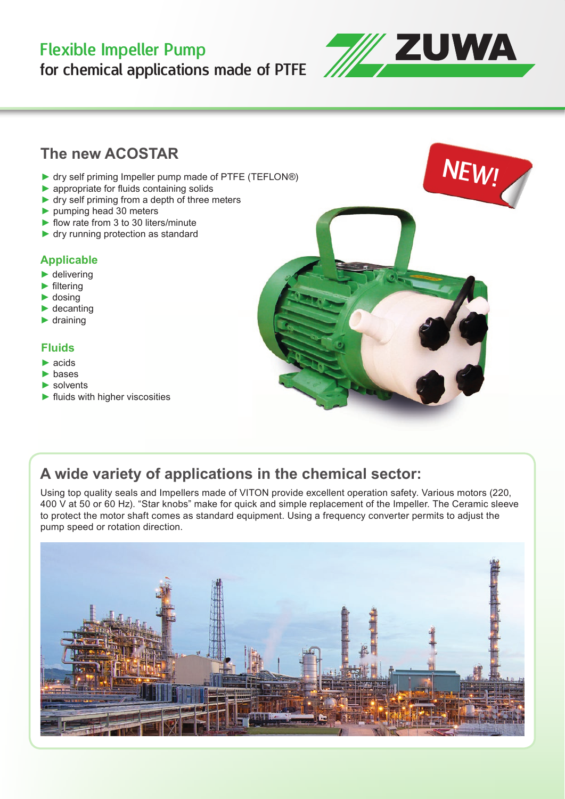# Flexible Impeller Pump

for chemical applications made of PTFE



### **The new ACOSTAR**

- ► dry self priming Impeller pump made of PTFE (TEFLON®)
- $\blacktriangleright$  appropriate for fluids containing solids
- ► dry self priming from a depth of three meters
- ► pumping head 30 meters
- $\blacktriangleright$  flow rate from 3 to 30 liters/minute
- ► dry running protection as standard

#### **Applicable**

- $\blacktriangleright$  delivering
- $\blacktriangleright$  filtering
- ► dosing
- $\blacktriangleright$  decanting
- $\blacktriangleright$  draining

#### **Fluids**

- $\blacktriangleright$  acids
- ► bases
- $\blacktriangleright$  solvents
- $\blacktriangleright$  fluids with higher viscosities



### **A wide variety of applications in the chemical sector:**

Using top quality seals and Impellers made of VITON provide excellent operation safety. Various motors (220, 400 V at 50 or 60 Hz). "Star knobs" make for quick and simple replacement of the Impeller. The Ceramic sleeve to protect the motor shaft comes as standard equipment. Using a frequency converter permits to adjust the pump speed or rotation direction.